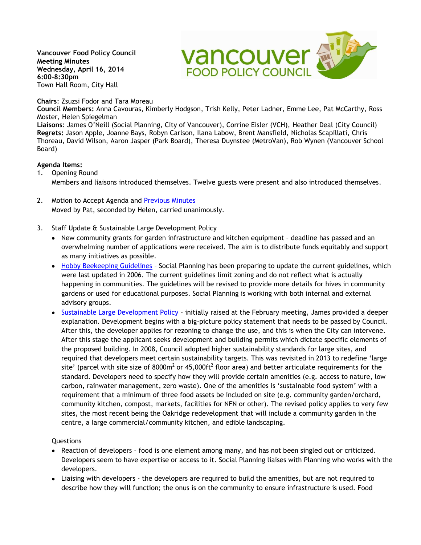**Vancouver Food Policy Council Meeting Minutes Wednesday, April 16, 2014 6:00-8:30pm**  Town Hall Room, City Hall

### **Chairs**: Zsuzsi Fodor and Tara Moreau

**Council Members:** Anna Cavouras, Kimberly Hodgson, Trish Kelly, Peter Ladner, Emme Lee, Pat McCarthy, Ross Moster, Helen Spiegelman

**Vancouver** 

**Liaisons**: James O'Neill (Social Planning, City of Vancouver), Corrine Eisler (VCH), Heather Deal (City Council) **Regrets:** Jason Apple, Joanne Bays, Robyn Carlson, Ilana Labow, Brent Mansfield, Nicholas Scapillati, Chris Thoreau, David Wilson, Aaron Jasper (Park Board), Theresa Duynstee (MetroVan), Rob Wynen (Vancouver School Board)

#### **Agenda Items:**

- 1. Opening Round Members and liaisons introduced themselves. Twelve guests were present and also introduced themselves.
- 2. Motion to Accept Agenda and [Previous Minutes](http://www.vancouverfoodpolicycouncil.ca/wp-content/uploads/2014/04/VFPC-March-2014-Minutes.pdf)  Moved by Pat, seconded by Helen, carried unanimously.
- 3. Staff Update & Sustainable Large Development Policy
	- New community grants for garden infrastructure and kitchen equipment deadline has passed and an overwhelming number of applications were received. The aim is to distribute funds equitably and support as many initiatives as possible.
	- [Hobby Beekeeping Guidelines](http://vancouver.ca/files/cov/bee-guidelines.pdf) Social Planning has been preparing to update the current guidelines, which were last updated in 2006. The current guidelines limit zoning and do not reflect what is actually happening in communities. The guidelines will be revised to provide more details for hives in community gardens or used for educational purposes. Social Planning is working with both internal and external advisory groups.
	- [Sustainable Large Development Policy](http://former.vancouver.ca/commsvcs/BYLAWS/bulletin/R019.pdf) initially raised at the February meeting, James provided a deeper explanation. Development begins with a big-picture policy statement that needs to be passed by Council. After this, the developer applies for rezoning to change the use, and this is when the City can intervene. After this stage the applicant seeks development and building permits which dictate specific elements of the proposed building. In 2008, Council adopted higher sustainability standards for large sites, and required that developers meet certain sustainability targets. This was revisited in 2013 to redefine 'large site' (parcel with site size of 8000m<sup>2</sup> or 45,000ft<sup>2</sup> floor area) and better articulate requirements for the standard. Developers need to specify how they will provide certain amenities (e.g. access to nature, low carbon, rainwater management, zero waste). One of the amenities is 'sustainable food system' with a requirement that a minimum of three food assets be included on site (e.g. community garden/orchard, community kitchen, compost, markets, facilities for NFN or other). The revised policy applies to very few sites, the most recent being the Oakridge redevelopment that will include a community garden in the centre, a large commercial/community kitchen, and edible landscaping.

#### Questions

- Reaction of developers food is one element among many, and has not been singled out or criticized. Developers seem to have expertise or access to it. Social Planning liaises with Planning who works with the developers.
- Liaising with developers the developers are required to build the amenities, but are not required to describe how they will function; the onus is on the community to ensure infrastructure is used. Food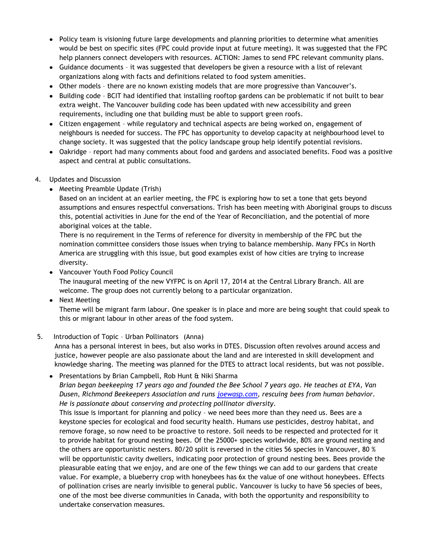- Policy team is visioning future large developments and planning priorities to determine what amenities would be best on specific sites (FPC could provide input at future meeting). It was suggested that the FPC help planners connect developers with resources. ACTION: James to send FPC relevant community plans.
- Guidance documents it was suggested that developers be given a resource with a list of relevant organizations along with facts and definitions related to food system amenities.
- Other models there are no known existing models that are more progressive than Vancouver's.
- Building code BCIT had identified that installing rooftop gardens can be problematic if not built to bear extra weight. The Vancouver building code has been updated with new accessibility and green requirements, including one that building must be able to support green roofs.
- Citizen engagement while regulatory and technical aspects are being worked on, engagement of neighbours is needed for success. The FPC has opportunity to develop capacity at neighbourhood level to change society. It was suggested that the policy landscape group help identify potential revisions.
- Oakridge report had many comments about food and gardens and associated benefits. Food was a positive aspect and central at public consultations.
- 4. Updates and Discussion
	- Meeting Preamble Update (Trish)

Based on an incident at an earlier meeting, the FPC is exploring how to set a tone that gets beyond assumptions and ensures respectful conversations. Trish has been meeting with Aboriginal groups to discuss this, potential activities in June for the end of the Year of Reconciliation, and the potential of more aboriginal voices at the table.

 There is no requirement in the Terms of reference for diversity in membership of the FPC but the nomination committee considers those issues when trying to balance membership. Many FPCs in North America are struggling with this issue, but good examples exist of how cities are trying to increase diversity.

- Vancouver Youth Food Policy Council The inaugural meeting of the new VYFPC is on April 17, 2014 at the Central Library Branch. All are welcome. The group does not currently belong to a particular organization.
- Next Meeting

Theme will be migrant farm labour. One speaker is in place and more are being sought that could speak to this or migrant labour in other areas of the food system.

# 5. Introduction of Topic – Urban Pollinators (Anna)

 Anna has a personal interest in bees, but also works in DTES. Discussion often revolves around access and justice, however people are also passionate about the land and are interested in skill development and knowledge sharing. The meeting was planned for the DTES to attract local residents, but was not possible.

• Presentations by Brian Campbell, Rob Hunt & Niki Sharma *Brian began beekeeping 17 years ago and founded the Bee School 7 years ago. He teaches at EYA, Van Dusen, Richmond Beekeepers Association and runs [joewasp.com,](http://www.joewasp.com/Joe_Wasp.html) rescuing bees from human behavior. He is passionate about conserving and protecting pollinator diversity.* 

This issue is important for planning and policy – we need bees more than they need us. Bees are a keystone species for ecological and food security health. Humans use pesticides, destroy habitat, and remove forage, so now need to be proactive to restore. Soil needs to be respected and protected for it to provide habitat for ground nesting bees. Of the 25000+ species worldwide, 80% are ground nesting and the others are opportunistic nesters. 80/20 split is reversed in the cities 56 species in Vancouver, 80 % will be opportunistic cavity dwellers, indicating poor protection of ground nesting bees. Bees provide the pleasurable eating that we enjoy, and are one of the few things we can add to our gardens that create value. For example, a blueberry crop with honeybees has 6x the value of one without honeybees. Effects of pollination crises are nearly invisible to general public. Vancouver is lucky to have 56 species of bees, one of the most bee diverse communities in Canada, with both the opportunity and responsibility to undertake conservation measures.